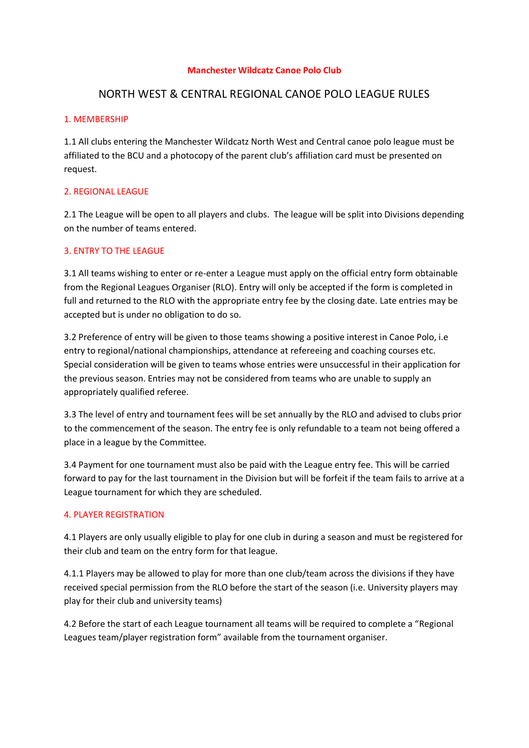#### **Manchester Wildcatz Canoe Polo Club**

# NORTH WEST & CENTRAL REGIONAL CANOE POLO LEAGUE RULES

### 1. MEMBERSHIP

1.1 All clubs entering the Manchester Wildcatz North West and Central canoe polo league must be affiliated to the BCU and a photocopy of the parent club's affiliation card must be presented on request.

## 2. REGIONAL LEAGUE

2.1 The League will be open to all players and clubs. The league will be split into Divisions depending on the number of teams entered.

## 3. ENTRY TO THE LEAGUE

3.1 All teams wishing to enter or re-enter a League must apply on the official entry form obtainable from the Regional Leagues Organiser (RLO). Entry will only be accepted if the form is completed in full and returned to the RLO with the appropriate entry fee by the closing date. Late entries may be accepted but is under no obligation to do so.

3.2 Preference of entry will be given to those teams showing a positive interest in Canoe Polo, i.e entry to regional/national championships, attendance at refereeing and coaching courses etc. Special consideration will be given to teams whose entries were unsuccessful in their application for the previous season. Entries may not be considered from teams who are unable to supply an appropriately qualified referee.

3.3 The level of entry and tournament fees will be set annually by the RLO and advised to clubs prior to the commencement of the season. The entry fee is only refundable to a team not being offered a place in a league by the Committee.

3.4 Payment for one tournament must also be paid with the League entry fee. This will be carried forward to pay for the last tournament in the Division but will be forfeit if the team fails to arrive at a League tournament for which they are scheduled.

#### 4. PLAYER REGISTRATION

4.1 Players are only usually eligible to play for one club in during a season and must be registered for their club and team on the entry form for that league.

4.1.1 Players may be allowed to play for more than one club/team across the divisions if they have received special permission from the RLO before the start of the season (i.e. University players may play for their club and university teams)

4.2 Before the start of each League tournament all teams will be required to complete a "Regional Leagues team/player registration form" available from the tournament organiser.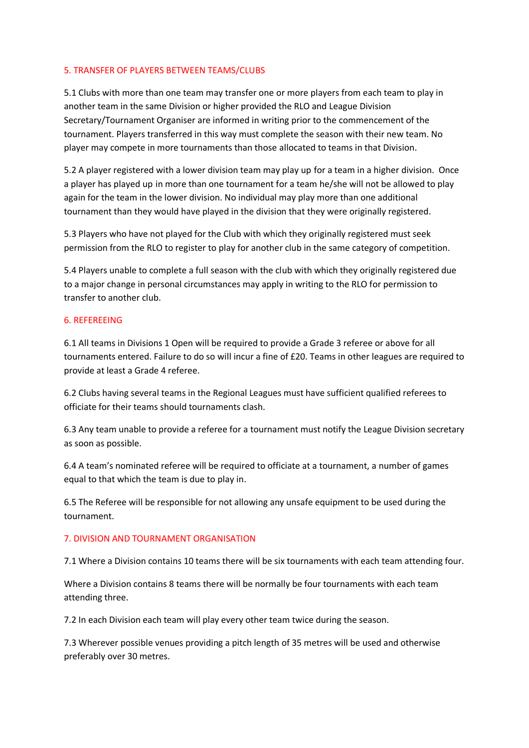#### 5. TRANSFER OF PLAYERS BETWEEN TEAMS/CLUBS

5.1 Clubs with more than one team may transfer one or more players from each team to play in another team in the same Division or higher provided the RLO and League Division Secretary/Tournament Organiser are informed in writing prior to the commencement of the tournament. Players transferred in this way must complete the season with their new team. No player may compete in more tournaments than those allocated to teams in that Division.

5.2 A player registered with a lower division team may play up for a team in a higher division. Once a player has played up in more than one tournament for a team he/she will not be allowed to play again for the team in the lower division. No individual may play more than one additional tournament than they would have played in the division that they were originally registered.

5.3 Players who have not played for the Club with which they originally registered must seek permission from the RLO to register to play for another club in the same category of competition.

5.4 Players unable to complete a full season with the club with which they originally registered due to a major change in personal circumstances may apply in writing to the RLO for permission to transfer to another club.

## 6. REFEREEING

6.1 All teams in Divisions 1 Open will be required to provide a Grade 3 referee or above for all tournaments entered. Failure to do so will incur a fine of £20. Teams in other leagues are required to provide at least a Grade 4 referee.

6.2 Clubs having several teams in the Regional Leagues must have sufficient qualified referees to officiate for their teams should tournaments clash.

6.3 Any team unable to provide a referee for a tournament must notify the League Division secretary as soon as possible.

6.4 A team's nominated referee will be required to officiate at a tournament, a number of games equal to that which the team is due to play in.

6.5 The Referee will be responsible for not allowing any unsafe equipment to be used during the tournament.

## 7. DIVISION AND TOURNAMENT ORGANISATION

7.1 Where a Division contains 10 teams there will be six tournaments with each team attending four.

Where a Division contains 8 teams there will be normally be four tournaments with each team attending three.

7.2 In each Division each team will play every other team twice during the season.

7.3 Wherever possible venues providing a pitch length of 35 metres will be used and otherwise preferably over 30 metres.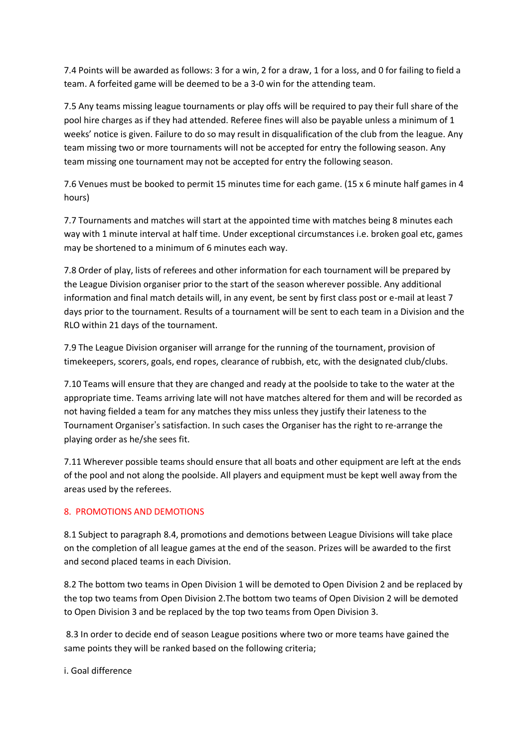7.4 Points will be awarded as follows: 3 for a win, 2 for a draw, 1 for a loss, and 0 for failing to field a team. A forfeited game will be deemed to be a 3-0 win for the attending team.

7.5 Any teams missing league tournaments or play offs will be required to pay their full share of the pool hire charges as if they had attended. Referee fines will also be payable unless a minimum of 1 weeks' notice is given. Failure to do so may result in disqualification of the club from the league. Any team missing two or more tournaments will not be accepted for entry the following season. Any team missing one tournament may not be accepted for entry the following season.

7.6 Venues must be booked to permit 15 minutes time for each game. (15 x 6 minute half games in 4 hours)

7.7 Tournaments and matches will start at the appointed time with matches being 8 minutes each way with 1 minute interval at half time. Under exceptional circumstances i.e. broken goal etc, games may be shortened to a minimum of 6 minutes each way.

7.8 Order of play, lists of referees and other information for each tournament will be prepared by the League Division organiser prior to the start of the season wherever possible. Any additional information and final match details will, in any event, be sent by first class post or e-mail at least 7 days prior to the tournament. Results of a tournament will be sent to each team in a Division and the RLO within 21 days of the tournament.

7.9 The League Division organiser will arrange for the running of the tournament, provision of timekeepers, scorers, goals, end ropes, clearance of rubbish, etc, with the designated club/clubs.

7.10 Teams will ensure that they are changed and ready at the poolside to take to the water at the appropriate time. Teams arriving late will not have matches altered for them and will be recorded as not having fielded a team for any matches they miss unless they justify their lateness to the Tournament Organiser's satisfaction. In such cases the Organiser has the right to re-arrange the playing order as he/she sees fit.

7.11 Wherever possible teams should ensure that all boats and other equipment are left at the ends of the pool and not along the poolside. All players and equipment must be kept well away from the areas used by the referees.

## 8. PROMOTIONS AND DEMOTIONS

8.1 Subject to paragraph 8.4, promotions and demotions between League Divisions will take place on the completion of all league games at the end of the season. Prizes will be awarded to the first and second placed teams in each Division.

8.2 The bottom two teams in Open Division 1 will be demoted to Open Division 2 and be replaced by the top two teams from Open Division 2.The bottom two teams of Open Division 2 will be demoted to Open Division 3 and be replaced by the top two teams from Open Division 3.

8.3 In order to decide end of season League positions where two or more teams have gained the same points they will be ranked based on the following criteria;

i. Goal difference